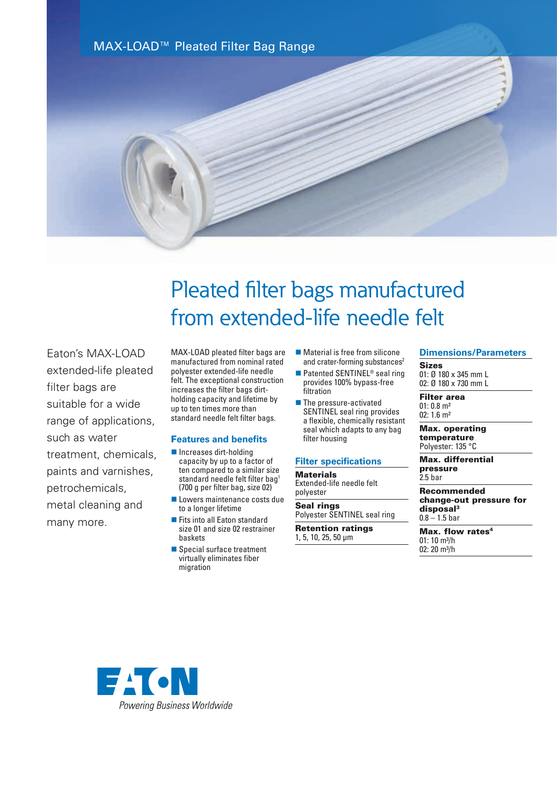

# Pleated filter bags manufactured from extended-life needle felt

Faton's MAX-LOAD extended-life pleated filter bags are suitable for a wide range of applications, such as water treatment, chemicals, paints and varnishes, petrochemicals, metal cleaning and many more.

MAX-LOAD pleated filter bags are manufactured from nominal rated polyester extended-life needle felt. The exceptional construction increases the filter bags dirtholding capacity and lifetime by up to ten times more than standard needle felt filter bags.

#### F**eatures and benefits**

- $\blacksquare$  Increases dirt-holding capacity by up to a factor of ten compared to a similar size standard needle felt filter bag<sup>1</sup> (700 g per filter bag, size 02)
- **n** Lowers maintenance costs due to a longer lifetime
- Fits into all Eaton standard size 01 and size 02 restrainer baskets
- Special surface treatment virtually eliminates fiber migration
- $\blacksquare$  Material is free from silicone and crater-forming substances<sup>2</sup>
- $\blacksquare$  Patented SENTINEL<sup>®</sup> seal ring provides 100% bypass-free filtration
- $\blacksquare$  The pressure-activated SENTINEL seal ring provides a flexible, chemically resistant seal which adapts to any bag filter housing

#### **Filter specifications**

**Materials** Extended-life needle felt polyester

Seal rings Polyester SENTINEL seal ring

Retention ratings 1, 5, 10, 25, 50 µm

## **Dimensions/Parameters**

Sizes 01: Ø 180 x 345 mm L 02: Ø 180 x 730 mm L

Filter area  $01: 0.8$  m<sup>2</sup> 02: 1.6 m²

Max. operating temperature Polyester: 135 °C

Max. differential pressure 2.5 bar

Recommended change-out pressure for disposal<sup>3</sup>  $0.8 - 1.5$  bar

Max. flow rates<sup>4</sup> 01: 10 m³/h  $02: 20$  m<sup>3</sup>/h